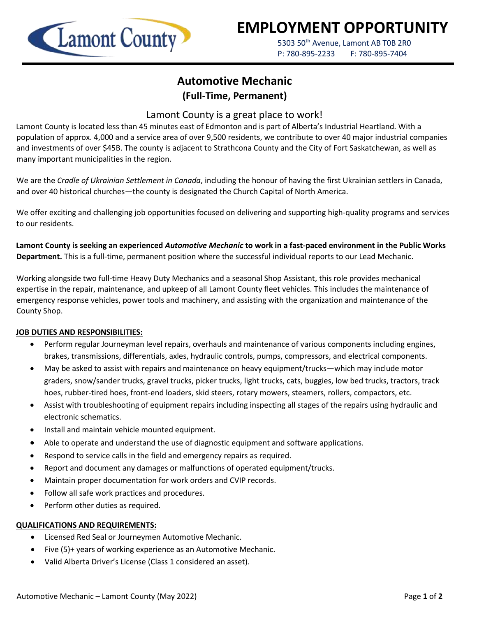

# **EMPLOYMENT OPPORTUNITY**

5303 50<sup>th</sup> Avenue, Lamont AB T0B 2R0 P: 780-895-2233 F: 780-895-7404

## **Automotive Mechanic (Full-Time, Permanent)**

### Lamont County is a great place to work!

Lamont County is located less than 45 minutes east of Edmonton and is part of Alberta's Industrial Heartland. With a population of approx. 4,000 and a service area of over 9,500 residents, we contribute to over 40 major industrial companies and investments of over \$45B. The county is adjacent to Strathcona County and the City of Fort Saskatchewan, as well as many important municipalities in the region.

We are the *Cradle of Ukrainian Settlement in Canada*, including the honour of having the first Ukrainian settlers in Canada, and over 40 historical churches—the county is designated the Church Capital of North America.

We offer exciting and challenging job opportunities focused on delivering and supporting high-quality programs and services to our residents.

**Lamont County is seeking an experienced** *Automotive Mechanic* **to work in a fast-paced environment in the Public Works Department.** This is a full-time, permanent position where the successful individual reports to our Lead Mechanic.

Working alongside two full-time Heavy Duty Mechanics and a seasonal Shop Assistant, this role provides mechanical expertise in the repair, maintenance, and upkeep of all Lamont County fleet vehicles. This includes the maintenance of emergency response vehicles, power tools and machinery, and assisting with the organization and maintenance of the County Shop.

#### **JOB DUTIES AND RESPONSIBILITIES:**

- Perform regular Journeyman level repairs, overhauls and maintenance of various components including engines, brakes, transmissions, differentials, axles, hydraulic controls, pumps, compressors, and electrical components.
- May be asked to assist with repairs and maintenance on heavy equipment/trucks—which may include motor graders, snow/sander trucks, gravel trucks, picker trucks, light trucks, cats, buggies, low bed trucks, tractors, track hoes, rubber-tired hoes, front-end loaders, skid steers, rotary mowers, steamers, rollers, compactors, etc.
- Assist with troubleshooting of equipment repairs including inspecting all stages of the repairs using hydraulic and electronic schematics.
- Install and maintain vehicle mounted equipment.
- Able to operate and understand the use of diagnostic equipment and software applications.
- Respond to service calls in the field and emergency repairs as required.
- Report and document any damages or malfunctions of operated equipment/trucks.
- Maintain proper documentation for work orders and CVIP records.
- Follow all safe work practices and procedures.
- Perform other duties as required.

#### **QUALIFICATIONS AND REQUIREMENTS:**

- Licensed Red Seal or Journeymen Automotive Mechanic.
- Five (5)+ years of working experience as an Automotive Mechanic.
- Valid Alberta Driver's License (Class 1 considered an asset).